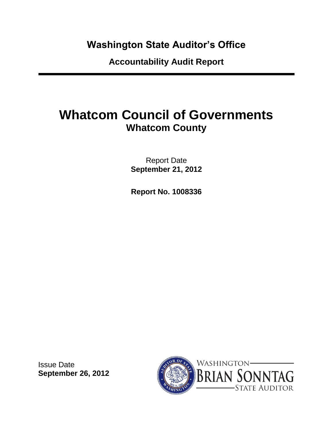### **Washington State Auditor's Office**

**Accountability Audit Report**

# **Whatcom Council of Governments Whatcom County**

Report Date **September 21, 2012**

**Report No. 1008336**

Issue Date **September 26, 2012**

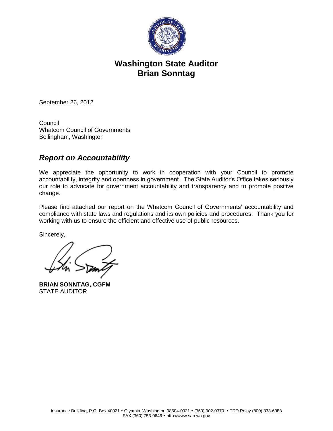

### **Washington State Auditor Brian Sonntag**

September 26, 2012

**Council** Whatcom Council of Governments Bellingham, Washington

#### *Report on Accountability*

We appreciate the opportunity to work in cooperation with your Council to promote accountability, integrity and openness in government. The State Auditor's Office takes seriously our role to advocate for government accountability and transparency and to promote positive change.

Please find attached our report on the Whatcom Council of Governments' accountability and compliance with state laws and regulations and its own policies and procedures. Thank you for working with us to ensure the efficient and effective use of public resources.

Sincerely,

**BRIAN SONNTAG, CGFM** STATE AUDITOR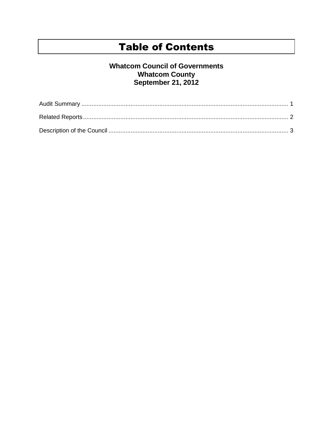### **Table of Contents**

#### **Whatcom Council of Governments Whatcom County** September 21, 2012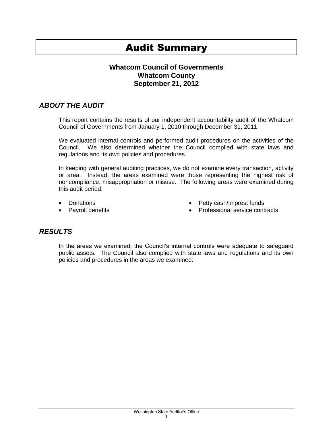### Audit Summary

#### **Whatcom Council of Governments Whatcom County September 21, 2012**

#### *ABOUT THE AUDIT*

This report contains the results of our independent accountability audit of the Whatcom Council of Governments from January 1, 2010 through December 31, 2011.

We evaluated internal controls and performed audit procedures on the activities of the Council. We also determined whether the Council complied with state laws and regulations and its own policies and procedures.

In keeping with general auditing practices, we do not examine every transaction, activity or area. Instead, the areas examined were those representing the highest risk of noncompliance, misappropriation or misuse. The following areas were examined during this audit period:

- Donations
- Pavroll benefits
- Petty cash/imprest funds
- Professional service contracts

#### *RESULTS*

In the areas we examined, the Council's internal controls were adequate to safeguard public assets. The Council also complied with state laws and regulations and its own policies and procedures in the areas we examined.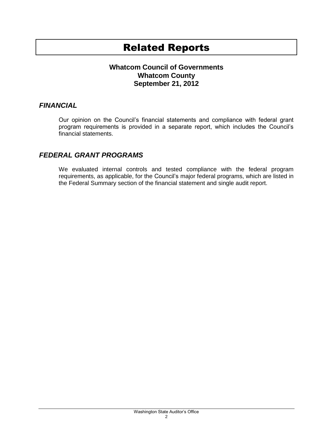### Related Reports

#### **Whatcom Council of Governments Whatcom County September 21, 2012**

#### *FINANCIAL*

Our opinion on the Council's financial statements and compliance with federal grant program requirements is provided in a separate report, which includes the Council's financial statements.

#### *FEDERAL GRANT PROGRAMS*

We evaluated internal controls and tested compliance with the federal program requirements, as applicable, for the Council's major federal programs, which are listed in the Federal Summary section of the financial statement and single audit report.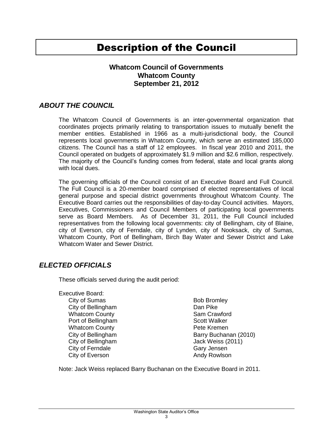### Description of the Council

#### **Whatcom Council of Governments Whatcom County September 21, 2012**

#### *ABOUT THE COUNCIL*

The Whatcom Council of Governments is an inter-governmental organization that coordinates projects primarily relating to transportation issues to mutually benefit the member entities. Established in 1966 as a multi-jurisdictional body, the Council represents local governments in Whatcom County, which serve an estimated 185,000 citizens. The Council has a staff of 12 employees. In fiscal year 2010 and 2011, the Council operated on budgets of approximately \$1.9 million and \$2.6 million, respectively. The majority of the Council's funding comes from federal, state and local grants along with local dues.

The governing officials of the Council consist of an Executive Board and Full Council. The Full Council is a 20-member board comprised of elected representatives of local general purpose and special district governments throughout Whatcom County. The Executive Board carries out the responsibilities of day-to-day Council activities. Mayors, Executives, Commissioners and Council Members of participating local governments serve as Board Members. As of December 31, 2011, the Full Council included representatives from the following local governments: city of Bellingham, city of Blaine, city of Everson, city of Ferndale, city of Lynden, city of Nooksack, city of Sumas, Whatcom County, Port of Bellingham, Birch Bay Water and Sewer District and Lake Whatcom Water and Sewer District.

#### *ELECTED OFFICIALS*

These officials served during the audit period:

- Executive Board: City of Sumas
	- City of Bellingham Whatcom County Port of Bellingham Whatcom County City of Bellingham City of Bellingham City of Ferndale City of Everson

Bob Bromley Dan Pike Sam Crawford Scott Walker Pete Kremen Barry Buchanan (2010) Jack Weiss (2011) Gary Jensen Andy Rowlson

Note: Jack Weiss replaced Barry Buchanan on the Executive Board in 2011.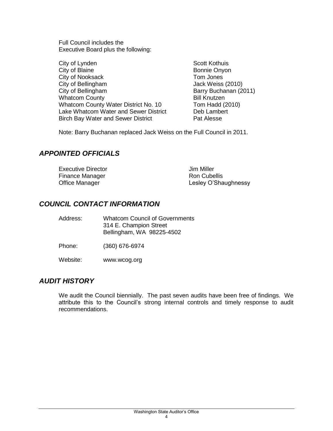Full Council includes the Executive Board plus the following:

City of Lynden City of Blaine City of Nooksack City of Bellingham City of Bellingham Whatcom County Whatcom County Water District No. 10 Lake Whatcom Water and Sewer District Birch Bay Water and Sewer District

Scott Kothuis Bonnie Onyon Tom Jones Jack Weiss (2010) Barry Buchanan (2011) Bill Knutzen Tom Hadd (2010) Deb Lambert Pat Alesse

Note: Barry Buchanan replaced Jack Weiss on the Full Council in 2011.

#### *APPOINTED OFFICIALS*

| <b>Executive Director</b> | Jim Miller           |
|---------------------------|----------------------|
| Finance Manager           | Ron Cubellis         |
| Office Manager            | Lesley O'Shaughnessy |

#### *COUNCIL CONTACT INFORMATION*

| Address: | <b>Whatcom Council of Governments</b><br>314 E. Champion Street<br>Bellingham, WA 98225-4502 |
|----------|----------------------------------------------------------------------------------------------|
| Phone:   | (360) 676-6974                                                                               |

Website: www.wcog.org

#### *AUDIT HISTORY*

We audit the Council biennially. The past seven audits have been free of findings. We attribute this to the Council's strong internal controls and timely response to audit recommendations.